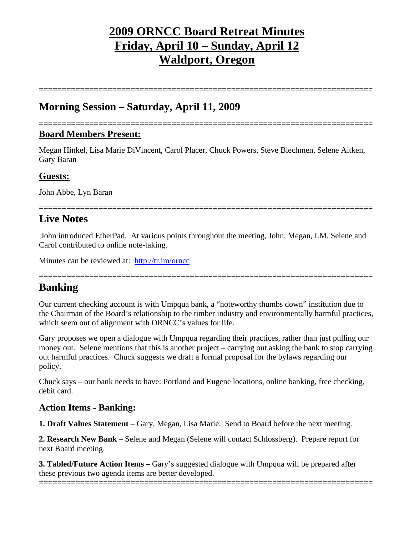# **2009 ORNCC Board Retreat Minutes Friday, April 10 – Sunday, April 12 Waldport, Oregon**

=========================================================================

## **Morning Session – Saturday, April 11, 2009**

#### ========================================================================= **Board Members Present:**

Megan Hinkel, Lisa Marie DiVincent, Carol Placer, Chuck Powers, Steve Blechmen, Selene Aitken, Gary Baran

### **Guests:**

John Abbe, Lyn Baran

## **Live Notes**

 John introduced EtherPad. At various points throughout the meeting, John, Megan, LM, Selene and Carol contributed to online note-taking.

=========================================================================

Minutes can be reviewed at: http://tr.im/orncc

### =========================================================================

## **Banking**

Our current checking account is with Umpqua bank, a "noteworthy thumbs down" institution due to the Chairman of the Board's relationship to the timber industry and environmentally harmful practices, which seem out of alignment with ORNCC's values for life.

Gary proposes we open a dialogue with Umpqua regarding their practices, rather than just pulling our money out. Selene mentions that this is another project – carrying out asking the bank to stop carrying out harmful practices. Chuck suggests we draft a formal proposal for the bylaws regarding our policy.

Chuck says – our bank needs to have: Portland and Eugene locations, online banking, free checking, debit card.

## **Action Items - Banking:**

**1. Draft Values Statement** – Gary, Megan, Lisa Marie. Send to Board before the next meeting.

**2. Research New Bank** – Selene and Megan (Selene will contact Schlossberg). Prepare report for next Board meeting.

**3. Tabled/Future Action Items – Gary's suggested dialogue with Umpqua will be prepared after** these previous two agenda items are better developed.

=========================================================================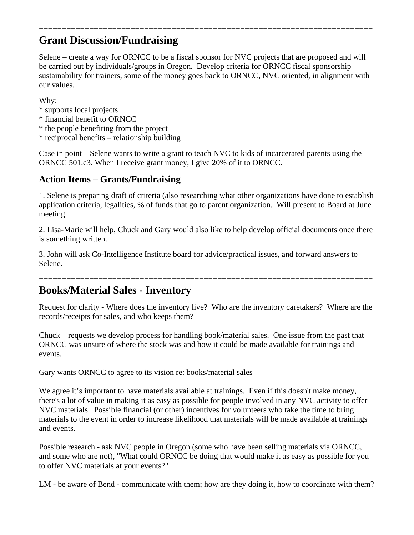## ========================================================================= **Grant Discussion/Fundraising**

Selene – create a way for ORNCC to be a fiscal sponsor for NVC projects that are proposed and will be carried out by individuals/groups in Oregon. Develop criteria for ORNCC fiscal sponsorship – sustainability for trainers, some of the money goes back to ORNCC, NVC oriented, in alignment with our values.

Why:

- \* supports local projects
- \* financial benefit to ORNCC
- \* the people benefiting from the project
- \* reciprocal benefits relationship building

Case in point – Selene wants to write a grant to teach NVC to kids of incarcerated parents using the ORNCC 501.c3. When I receive grant money, I give 20% of it to ORNCC.

## **Action Items – Grants/Fundraising**

1. Selene is preparing draft of criteria (also researching what other organizations have done to establish application criteria, legalities, % of funds that go to parent organization. Will present to Board at June meeting.

2. Lisa-Marie will help, Chuck and Gary would also like to help develop official documents once there is something written.

3. John will ask Co-Intelligence Institute board for advice/practical issues, and forward answers to Selene.

# **Books/Material Sales - Inventory**

Request for clarity - Where does the inventory live? Who are the inventory caretakers? Where are the records/receipts for sales, and who keeps them?

=========================================================================

Chuck – requests we develop process for handling book/material sales. One issue from the past that ORNCC was unsure of where the stock was and how it could be made available for trainings and events.

Gary wants ORNCC to agree to its vision re: books/material sales

We agree it's important to have materials available at trainings. Even if this doesn't make money, there's a lot of value in making it as easy as possible for people involved in any NVC activity to offer NVC materials. Possible financial (or other) incentives for volunteers who take the time to bring materials to the event in order to increase likelihood that materials will be made available at trainings and events.

Possible research - ask NVC people in Oregon (some who have been selling materials via ORNCC, and some who are not), "What could ORNCC be doing that would make it as easy as possible for you to offer NVC materials at your events?"

LM - be aware of Bend - communicate with them; how are they doing it, how to coordinate with them?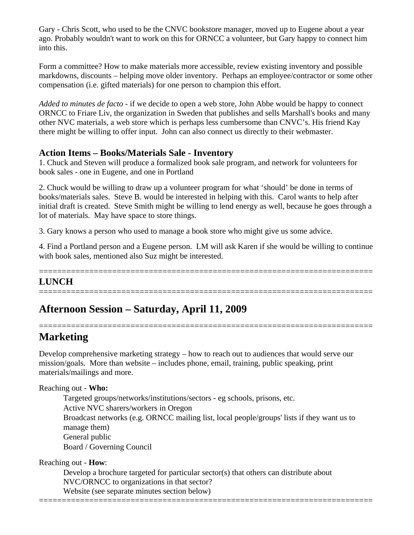Gary - Chris Scott, who used to be the CNVC bookstore manager, moved up to Eugene about a year ago. Probably wouldn't want to work on this for ORNCC a volunteer, but Gary happy to connect him into this.

Form a committee? How to make materials more accessible, review existing inventory and possible markdowns, discounts – helping move older inventory. Perhaps an employee/contractor or some other compensation (i.e. gifted materials) for one person to champion this effort.

*Added to minutes de facto* - if we decide to open a web store, John Abbe would be happy to connect ORNCC to Friare Liv, the organization in Sweden that publishes and sells Marshall's books and many other NVC materials, a web store which is perhaps less cumbersome than CNVC's. His friend Kay there might be willing to offer input. John can also connect us directly to their webmaster.

## **Action Items – Books/Materials Sale - Inventory**

1. Chuck and Steven will produce a formalized book sale program, and network for volunteers for book sales - one in Eugene, and one in Portland

2. Chuck would be willing to draw up a volunteer program for what 'should' be done in terms of books/materials sales. Steve B. would be interested in helping with this. Carol wants to help after initial draft is created. Steve Smith might be willing to lend energy as well, because he goes through a lot of materials. May have space to store things.

3. Gary knows a person who used to manage a book store who might give us some advice.

4. Find a Portland person and a Eugene person. LM will ask Karen if she would be willing to continue with book sales, mentioned also Suz might be interested.

### ========================================================================= **LUNCH**

=========================================================================

=========================================================================

# **Afternoon Session – Saturday, April 11, 2009**

# **Marketing**

Develop comprehensive marketing strategy – how to reach out to audiences that would serve our mission/goals. More than website – includes phone, email, training, public speaking, print materials/mailings and more.

### Reaching out - **Who:**

Targeted groups/networks/institutions/sectors - eg schools, prisons, etc. Active NVC sharers/workers in Oregon Broadcast networks (e.g. ORNCC mailing list, local people/groups' lists if they want us to manage them) General public Board / Governing Council

Reaching out - **How**:

Develop a brochure targeted for particular sector(s) that others can distribute about NVC/ORNCC to organizations in that sector? Website (see separate minutes section below) =========================================================================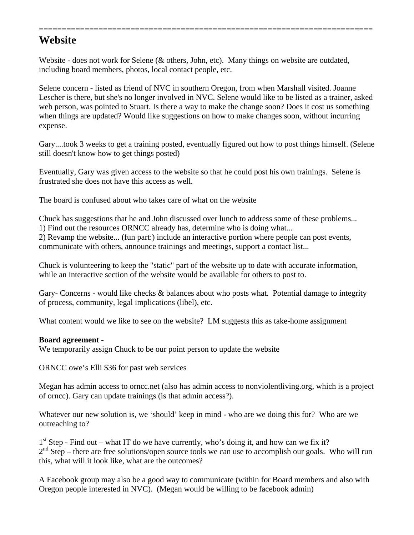## **Website**

Website - does not work for Selene (& others, John, etc). Many things on website are outdated, including board members, photos, local contact people, etc.

Selene concern - listed as friend of NVC in southern Oregon, from when Marshall visited. Joanne Lescher is there, but she's no longer involved in NVC. Selene would like to be listed as a trainer, asked web person, was pointed to Stuart. Is there a way to make the change soon? Does it cost us something when things are updated? Would like suggestions on how to make changes soon, without incurring expense.

=========================================================================

Gary....took 3 weeks to get a training posted, eventually figured out how to post things himself. (Selene still doesn't know how to get things posted)

Eventually, Gary was given access to the website so that he could post his own trainings. Selene is frustrated she does not have this access as well.

The board is confused about who takes care of what on the website

Chuck has suggestions that he and John discussed over lunch to address some of these problems...

1) Find out the resources ORNCC already has, determine who is doing what...

2) Revamp the website... (fun part:) include an interactive portion where people can post events, communicate with others, announce trainings and meetings, support a contact list...

Chuck is volunteering to keep the "static" part of the website up to date with accurate information, while an interactive section of the website would be available for others to post to.

Gary- Concerns - would like checks & balances about who posts what. Potential damage to integrity of process, community, legal implications (libel), etc.

What content would we like to see on the website? LM suggests this as take-home assignment

#### **Board agreement -**

We temporarily assign Chuck to be our point person to update the website

ORNCC owe's Elli \$36 for past web services

Megan has admin access to orncc.net (also has admin access to nonviolentliving.org, which is a project of orncc). Gary can update trainings (is that admin access?).

Whatever our new solution is, we 'should' keep in mind - who are we doing this for? Who are we outreaching to?

 $1<sup>st</sup>$  Step - Find out – what IT do we have currently, who's doing it, and how can we fix it?  $2<sup>nd</sup> Step – there are free solutions/open source tools we can use to accomplish our goals. Who will run$ this, what will it look like, what are the outcomes?

A Facebook group may also be a good way to communicate (within for Board members and also with Oregon people interested in NVC). (Megan would be willing to be facebook admin)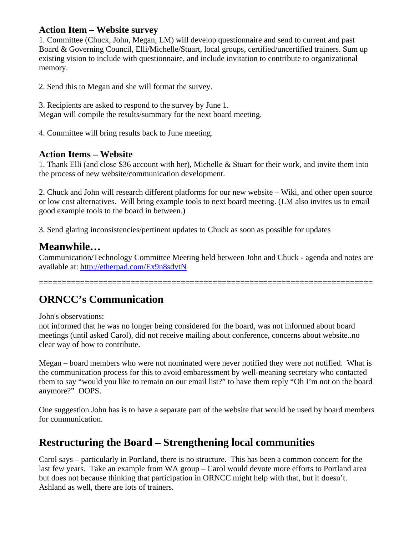### **Action Item – Website survey**

1. Committee (Chuck, John, Megan, LM) will develop questionnaire and send to current and past Board & Governing Council, Elli/Michelle/Stuart, local groups, certified/uncertified trainers. Sum up existing vision to include with questionnaire, and include invitation to contribute to organizational memory.

2. Send this to Megan and she will format the survey.

3. Recipients are asked to respond to the survey by June 1. Megan will compile the results/summary for the next board meeting.

4. Committee will bring results back to June meeting.

### **Action Items – Website**

1. Thank Elli (and close \$36 account with her), Michelle & Stuart for their work, and invite them into the process of new website/communication development.

2. Chuck and John will research different platforms for our new website – Wiki, and other open source or low cost alternatives. Will bring example tools to next board meeting. (LM also invites us to email good example tools to the board in between.)

3. Send glaring inconsistencies/pertinent updates to Chuck as soon as possible for updates

## **Meanwhile…**

Communication/Technology Committee Meeting held between John and Chuck - agenda and notes are available at: http://etherpad.com/Ex9n8sdvtN

=========================================================================

# **ORNCC's Communication**

John's observations:

not informed that he was no longer being considered for the board, was not informed about board meetings (until asked Carol), did not receive mailing about conference, concerns about website..no clear way of how to contribute.

Megan – board members who were not nominated were never notified they were not notified. What is the communication process for this to avoid embaressment by well-meaning secretary who contacted them to say "would you like to remain on our email list?" to have them reply "Oh I'm not on the board anymore?" OOPS.

One suggestion John has is to have a separate part of the website that would be used by board members for communication.

# **Restructuring the Board – Strengthening local communities**

Carol says – particularly in Portland, there is no structure. This has been a common concern for the last few years. Take an example from WA group – Carol would devote more efforts to Portland area but does not because thinking that participation in ORNCC might help with that, but it doesn't. Ashland as well, there are lots of trainers.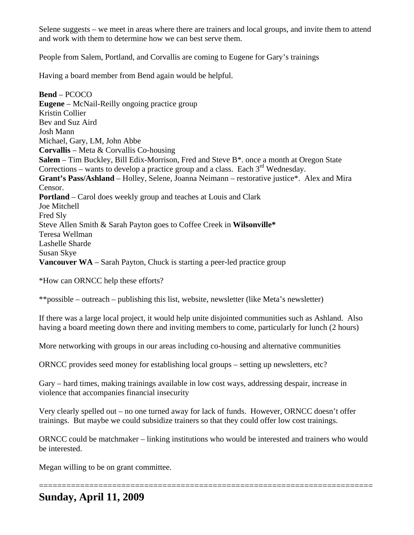Selene suggests – we meet in areas where there are trainers and local groups, and invite them to attend and work with them to determine how we can best serve them.

People from Salem, Portland, and Corvallis are coming to Eugene for Gary's trainings

Having a board member from Bend again would be helpful.

**Bend** – PCOCO **Eugene** – McNail-Reilly ongoing practice group Kristin Collier Bev and Suz Aird Josh Mann Michael, Gary, LM, John Abbe **Corvallis** – Meta & Corvallis Co-housing **Salem** – Tim Buckley, Bill Edix-Morrison, Fred and Steve B\*. once a month at Oregon State Corrections – wants to develop a practice group and a class. Each  $3<sup>rd</sup>$  Wednesday. **Grant's Pass/Ashland** – Holley, Selene, Joanna Neimann – restorative justice\*. Alex and Mira Censor. **Portland** – Carol does weekly group and teaches at Louis and Clark Joe Mitchell Fred Sly Steve Allen Smith & Sarah Payton goes to Coffee Creek in **Wilsonville\*** Teresa Wellman Lashelle Sharde Susan Skye **Vancouver WA** – Sarah Payton, Chuck is starting a peer-led practice group

\*How can ORNCC help these efforts?

\*\*possible – outreach – publishing this list, website, newsletter (like Meta's newsletter)

If there was a large local project, it would help unite disjointed communities such as Ashland. Also having a board meeting down there and inviting members to come, particularly for lunch (2 hours)

More networking with groups in our areas including co-housing and alternative communities

ORNCC provides seed money for establishing local groups – setting up newsletters, etc?

Gary – hard times, making trainings available in low cost ways, addressing despair, increase in violence that accompanies financial insecurity

Very clearly spelled out – no one turned away for lack of funds. However, ORNCC doesn't offer trainings. But maybe we could subsidize trainers so that they could offer low cost trainings.

ORNCC could be matchmaker – linking institutions who would be interested and trainers who would be interested.

=========================================================================

Megan willing to be on grant committee.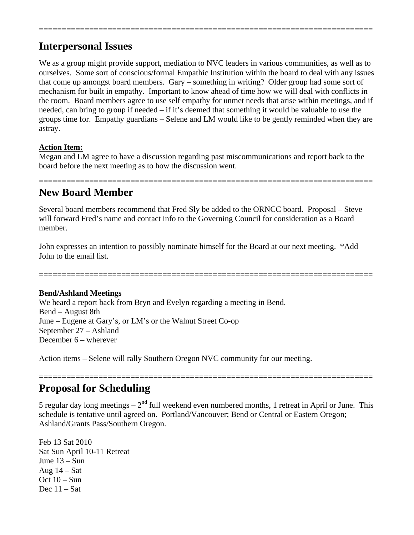# **Interpersonal Issues**

We as a group might provide support, mediation to NVC leaders in various communities, as well as to ourselves. Some sort of conscious/formal Empathic Institution within the board to deal with any issues that come up amongst board members. Gary – something in writing? Older group had some sort of mechanism for built in empathy. Important to know ahead of time how we will deal with conflicts in the room. Board members agree to use self empathy for unmet needs that arise within meetings, and if needed, can bring to group if needed – if it's deemed that something it would be valuable to use the groups time for. Empathy guardians – Selene and LM would like to be gently reminded when they are astray.

=========================================================================

### **Action Item:**

Megan and LM agree to have a discussion regarding past miscommunications and report back to the board before the next meeting as to how the discussion went.

### ========================================================================= **New Board Member**

Several board members recommend that Fred Sly be added to the ORNCC board. Proposal – Steve will forward Fred's name and contact info to the Governing Council for consideration as a Board member.

John expresses an intention to possibly nominate himself for the Board at our next meeting. \*Add John to the email list.

=========================================================================

### **Bend/Ashland Meetings**

We heard a report back from Bryn and Evelyn regarding a meeting in Bend. Bend – August 8th June – Eugene at Gary's, or LM's or the Walnut Street Co-op September 27 – Ashland December 6 – wherever

Action items – Selene will rally Southern Oregon NVC community for our meeting.

# **Proposal for Scheduling**

5 regular day long meetings  $-2<sup>nd</sup>$  full weekend even numbered months, 1 retreat in April or June. This schedule is tentative until agreed on. Portland/Vancouver; Bend or Central or Eastern Oregon; Ashland/Grants Pass/Southern Oregon.

=========================================================================

Feb 13 Sat 2010 Sat Sun April 10-11 Retreat June 13 – Sun Aug  $14 - Sat$ Oct  $10 - Sun$ Dec 11 – Sat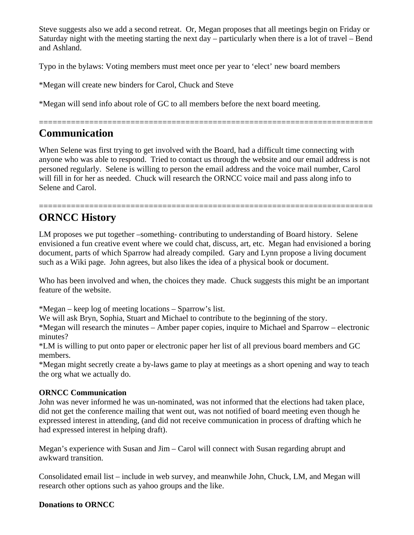Steve suggests also we add a second retreat. Or, Megan proposes that all meetings begin on Friday or Saturday night with the meeting starting the next day – particularly when there is a lot of travel – Bend and Ashland.

Typo in the bylaws: Voting members must meet once per year to 'elect' new board members

\*Megan will create new binders for Carol, Chuck and Steve

\*Megan will send info about role of GC to all members before the next board meeting.

### ========================================================================= **Communication**

When Selene was first trying to get involved with the Board, had a difficult time connecting with anyone who was able to respond. Tried to contact us through the website and our email address is not personed regularly. Selene is willing to person the email address and the voice mail number, Carol will fill in for her as needed. Chuck will research the ORNCC voice mail and pass along info to Selene and Carol.

=========================================================================

# **ORNCC History**

LM proposes we put together –something- contributing to understanding of Board history. Selene envisioned a fun creative event where we could chat, discuss, art, etc. Megan had envisioned a boring document, parts of which Sparrow had already compiled. Gary and Lynn propose a living document such as a Wiki page. John agrees, but also likes the idea of a physical book or document.

Who has been involved and when, the choices they made. Chuck suggests this might be an important feature of the website.

\*Megan – keep log of meeting locations – Sparrow's list.

We will ask Bryn, Sophia, Stuart and Michael to contribute to the beginning of the story.

\*Megan will research the minutes – Amber paper copies, inquire to Michael and Sparrow – electronic minutes?

\*LM is willing to put onto paper or electronic paper her list of all previous board members and GC members.

\*Megan might secretly create a by-laws game to play at meetings as a short opening and way to teach the org what we actually do.

### **ORNCC Communication**

John was never informed he was un-nominated, was not informed that the elections had taken place, did not get the conference mailing that went out, was not notified of board meeting even though he expressed interest in attending, (and did not receive communication in process of drafting which he had expressed interest in helping draft).

Megan's experience with Susan and Jim – Carol will connect with Susan regarding abrupt and awkward transition.

Consolidated email list – include in web survey, and meanwhile John, Chuck, LM, and Megan will research other options such as yahoo groups and the like.

### **Donations to ORNCC**